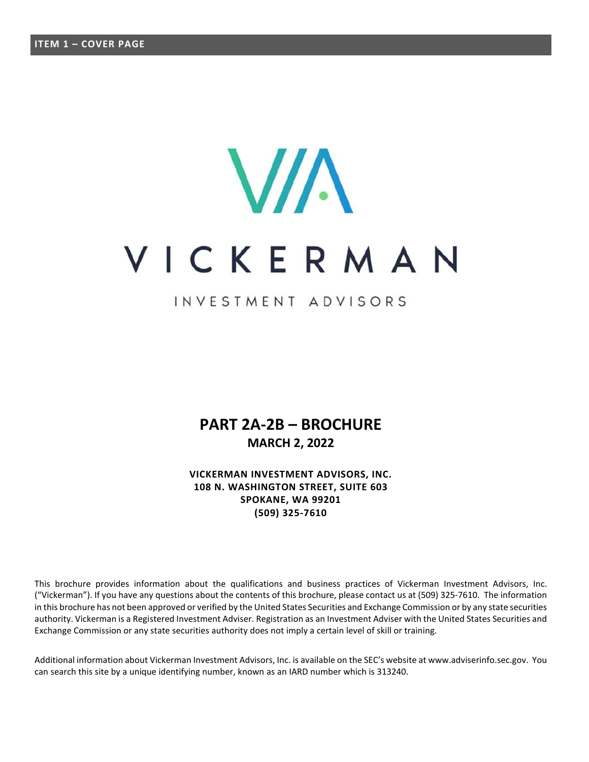# **VIA** VICKERMAN

INVESTMENT ADVISORS

# **PART 2A-2B – BROCHURE MARCH 2, 2022**

**VICKERMAN INVESTMENT ADVISORS, INC. 108 N. WASHINGTON STREET, SUITE 603 SPOKANE, WA 99201 (509) 325-7610** 

This brochure provides information about the qualifications and business practices of Vickerman Investment Advisors, Inc. ("Vickerman"). If you have any questions about the contents of this brochure, please contact us at (509) 325-7610. The information in this brochure has not been approved or verified by the United States Securities and Exchange Commission or by any state securities authority. Vickerman is a Registered Investment Adviser. Registration as an Investment Adviser with the United States Securities and Exchange Commission or any state securities authority does not imply a certain level of skill or training.

Additional information about Vickerman Investment Advisors, Inc. is available on the SEC's website at www.adviserinfo.sec.gov. You can search this site by a unique identifying number, known as an IARD number which is 313240.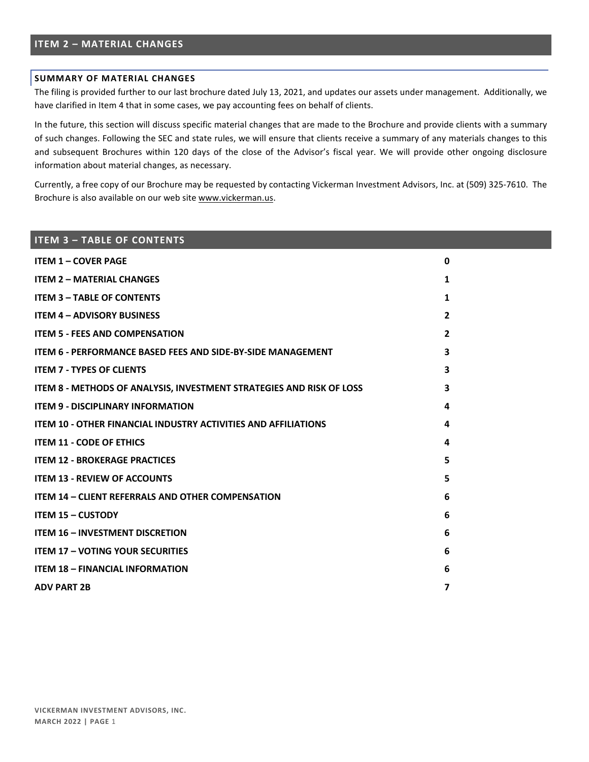# **ITEM 2 – MATERIAL CHANGES**

#### **SUMMARY OF MATERIAL CHANGES**

The filing is provided further to our last brochure dated July 13, 2021, and updates our assets under management. Additionally, we have clarified in Item 4 that in some cases, we pay accounting fees on behalf of clients.

In the future, this section will discuss specific material changes that are made to the Brochure and provide clients with a summary of such changes. Following the SEC and state rules, we will ensure that clients receive a summary of any materials changes to this and subsequent Brochures within 120 days of the close of the Advisor's fiscal year. We will provide other ongoing disclosure information about material changes, as necessary.

Currently, a free copy of our Brochure may be requested by contacting Vickerman Investment Advisors, Inc. at (509) 325-7610. The Brochure is also available on our web site www.vickerman.us.

# **ITEM 3 – TABLE OF CONTENTS ITEM 1 – COVER PAGE 0 ITEM 2 – MATERIAL CHANGES 1 ITEM 3 – TABLE OF CONTENTS** 1 **ITEM 4 – ADVISORY BUSINESS 2 ITEM 5 - FEES AND COMPENSATION 2 ITEM 6 - PERFORMANCE BASED FEES AND SIDE-BY-SIDE MANAGEMENT 3 ITEM 7 - TYPES OF CLIENTS 3 ITEM 8 - METHODS OF ANALYSIS, INVESTMENT STRATEGIES AND RISK OF LOSS 3 ITEM 9 - DISCIPLINARY INFORMATION 4 ITEM 10 - OTHER FINANCIAL INDUSTRY ACTIVITIES AND AFFILIATIONS 4 ITEM 11 - CODE OF ETHICS 4 ITEM 12 - BROKERAGE PRACTICES 5 ITEM 13 - REVIEW OF ACCOUNTS 5 ITEM 14 – CLIENT REFERRALS AND OTHER COMPENSATION 6 ITEM 15 – CUSTODY 6 ITEM 16 – INVESTMENT DISCRETION 6 ITEM 17 – VOTING YOUR SECURITIES 6 ITEM 18 – FINANCIAL INFORMATION 6 ADV PART 2B 7**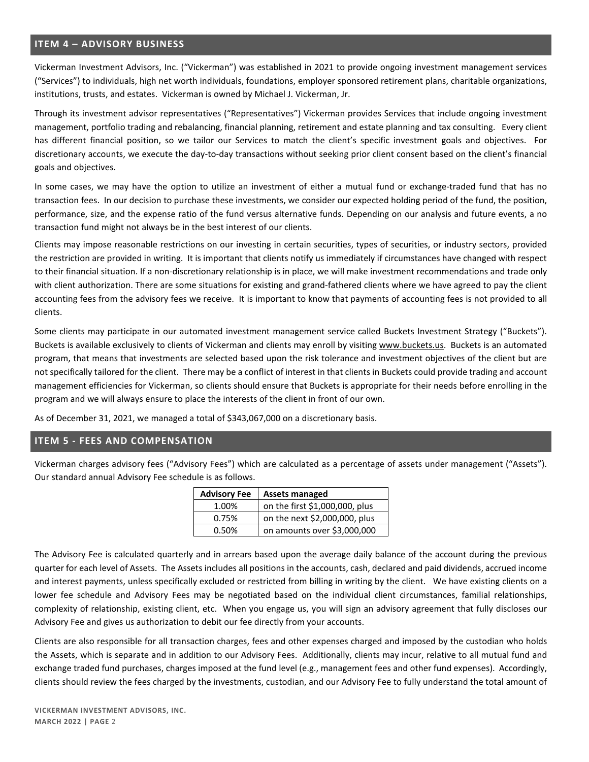## **ITEM 4 – ADVISORY BUSINESS**

Vickerman Investment Advisors, Inc. ("Vickerman") was established in 2021 to provide ongoing investment management services ("Services") to individuals, high net worth individuals, foundations, employer sponsored retirement plans, charitable organizations, institutions, trusts, and estates. Vickerman is owned by Michael J. Vickerman, Jr.

Through its investment advisor representatives ("Representatives") Vickerman provides Services that include ongoing investment management, portfolio trading and rebalancing, financial planning, retirement and estate planning and tax consulting. Every client has different financial position, so we tailor our Services to match the client's specific investment goals and objectives. For discretionary accounts, we execute the day-to-day transactions without seeking prior client consent based on the client's financial goals and objectives.

In some cases, we may have the option to utilize an investment of either a mutual fund or exchange-traded fund that has no transaction fees. In our decision to purchase these investments, we consider our expected holding period of the fund, the position, performance, size, and the expense ratio of the fund versus alternative funds. Depending on our analysis and future events, a no transaction fund might not always be in the best interest of our clients.

Clients may impose reasonable restrictions on our investing in certain securities, types of securities, or industry sectors, provided the restriction are provided in writing. It is important that clients notify us immediately if circumstances have changed with respect to their financial situation. If a non-discretionary relationship is in place, we will make investment recommendations and trade only with client authorization. There are some situations for existing and grand-fathered clients where we have agreed to pay the client accounting fees from the advisory fees we receive. It is important to know that payments of accounting fees is not provided to all clients.

Some clients may participate in our automated investment management service called Buckets Investment Strategy ("Buckets"). Buckets is available exclusively to clients of Vickerman and clients may enroll by visiting www.buckets.us. Buckets is an automated program, that means that investments are selected based upon the risk tolerance and investment objectives of the client but are not specifically tailored for the client. There may be a conflict of interest in that clients in Buckets could provide trading and account management efficiencies for Vickerman, so clients should ensure that Buckets is appropriate for their needs before enrolling in the program and we will always ensure to place the interests of the client in front of our own.

As of December 31, 2021, we managed a total of \$343,067,000 on a discretionary basis.

# **ITEM 5 - FEES AND COMPENSATION**

Vickerman charges advisory fees ("Advisory Fees") which are calculated as a percentage of assets under management ("Assets"). Our standard annual Advisory Fee schedule is as follows.

| <b>Advisory Fee</b> | <b>Assets managed</b>          |
|---------------------|--------------------------------|
| 1.00%               | on the first \$1,000,000, plus |
| 0.75%               | on the next \$2,000,000, plus  |
| 0.50%               | on amounts over \$3,000,000    |

The Advisory Fee is calculated quarterly and in arrears based upon the average daily balance of the account during the previous quarter for each level of Assets. The Assets includes all positions in the accounts, cash, declared and paid dividends, accrued income and interest payments, unless specifically excluded or restricted from billing in writing by the client. We have existing clients on a lower fee schedule and Advisory Fees may be negotiated based on the individual client circumstances, familial relationships, complexity of relationship, existing client, etc. When you engage us, you will sign an advisory agreement that fully discloses our Advisory Fee and gives us authorization to debit our fee directly from your accounts.

Clients are also responsible for all transaction charges, fees and other expenses charged and imposed by the custodian who holds the Assets, which is separate and in addition to our Advisory Fees. Additionally, clients may incur, relative to all mutual fund and exchange traded fund purchases, charges imposed at the fund level (e.g., management fees and other fund expenses). Accordingly, clients should review the fees charged by the investments, custodian, and our Advisory Fee to fully understand the total amount of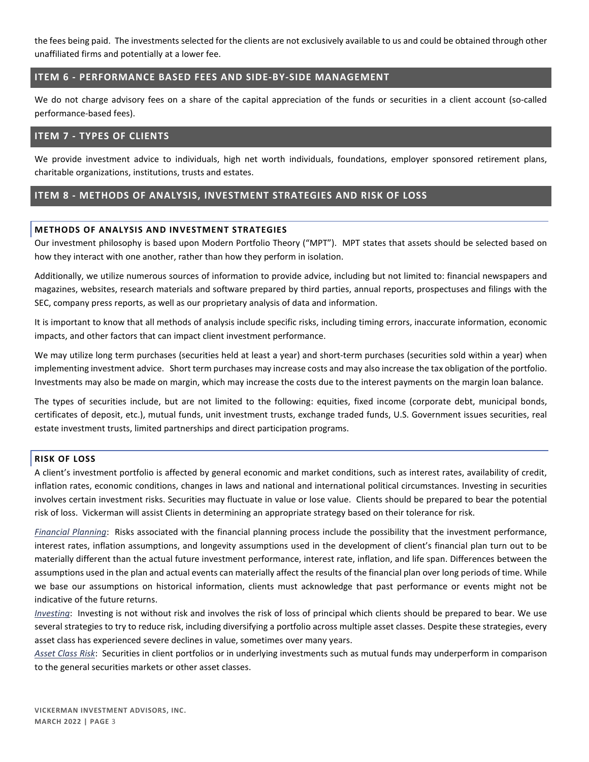the fees being paid. The investments selected for the clients are not exclusively available to us and could be obtained through other unaffiliated firms and potentially at a lower fee.

## **ITEM 6 - PERFORMANCE BASED FEES AND SIDE-BY-SIDE MANAGEMENT**

We do not charge advisory fees on a share of the capital appreciation of the funds or securities in a client account (so-called performance-based fees).

## **ITEM 7 - TYPES OF CLIENTS**

We provide investment advice to individuals, high net worth individuals, foundations, employer sponsored retirement plans, charitable organizations, institutions, trusts and estates.

# **ITEM 8 - METHODS OF ANALYSIS, INVESTMENT STRATEGIES AND RISK OF LOSS**

## **METHODS OF ANALYSIS AND INVESTMENT STRATEGIES**

Our investment philosophy is based upon Modern Portfolio Theory ("MPT"). MPT states that assets should be selected based on how they interact with one another, rather than how they perform in isolation.

Additionally, we utilize numerous sources of information to provide advice, including but not limited to: financial newspapers and magazines, websites, research materials and software prepared by third parties, annual reports, prospectuses and filings with the SEC, company press reports, as well as our proprietary analysis of data and information.

It is important to know that all methods of analysis include specific risks, including timing errors, inaccurate information, economic impacts, and other factors that can impact client investment performance.

We may utilize long term purchases (securities held at least a year) and short-term purchases (securities sold within a year) when implementing investment advice. Short term purchases may increase costs and may also increase the tax obligation of the portfolio. Investments may also be made on margin, which may increase the costs due to the interest payments on the margin loan balance.

The types of securities include, but are not limited to the following: equities, fixed income (corporate debt, municipal bonds, certificates of deposit, etc.), mutual funds, unit investment trusts, exchange traded funds, U.S. Government issues securities, real estate investment trusts, limited partnerships and direct participation programs.

#### **RISK OF LOSS**

A client's investment portfolio is affected by general economic and market conditions, such as interest rates, availability of credit, inflation rates, economic conditions, changes in laws and national and international political circumstances. Investing in securities involves certain investment risks. Securities may fluctuate in value or lose value. Clients should be prepared to bear the potential risk of loss. Vickerman will assist Clients in determining an appropriate strategy based on their tolerance for risk.

*Financial Planning*: Risks associated with the financial planning process include the possibility that the investment performance, interest rates, inflation assumptions, and longevity assumptions used in the development of client's financial plan turn out to be materially different than the actual future investment performance, interest rate, inflation, and life span. Differences between the assumptions used in the plan and actual events can materially affect the results of the financial plan over long periods of time. While we base our assumptions on historical information, clients must acknowledge that past performance or events might not be indicative of the future returns.

*Investing*: Investing is not without risk and involves the risk of loss of principal which clients should be prepared to bear. We use several strategies to try to reduce risk, including diversifying a portfolio across multiple asset classes. Despite these strategies, every asset class has experienced severe declines in value, sometimes over many years.

*Asset Class Risk*: Securities in client portfolios or in underlying investments such as mutual funds may underperform in comparison to the general securities markets or other asset classes.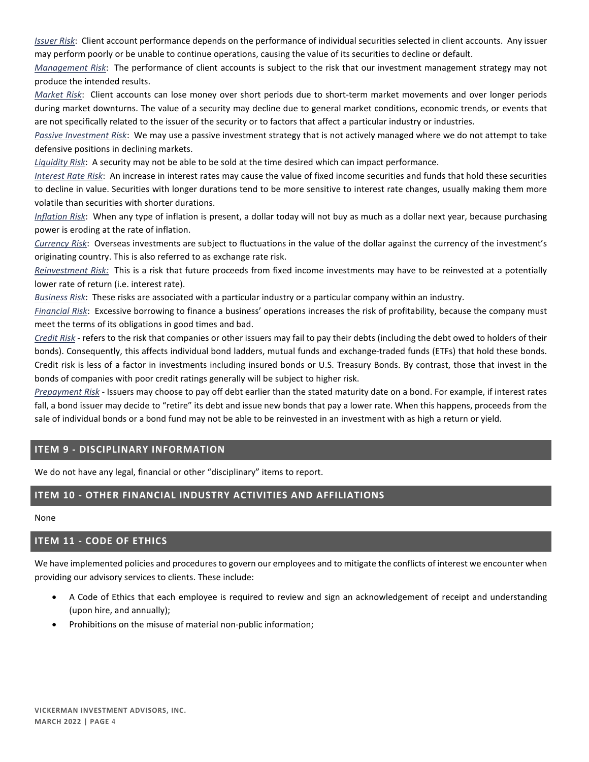*Issuer Risk*: Client account performance depends on the performance of individual securities selected in client accounts. Any issuer may perform poorly or be unable to continue operations, causing the value of its securities to decline or default.

*Management Risk*: The performance of client accounts is subject to the risk that our investment management strategy may not produce the intended results.

*Market Risk*: Client accounts can lose money over short periods due to short-term market movements and over longer periods during market downturns. The value of a security may decline due to general market conditions, economic trends, or events that are not specifically related to the issuer of the security or to factors that affect a particular industry or industries.

*Passive Investment Risk*: We may use a passive investment strategy that is not actively managed where we do not attempt to take defensive positions in declining markets.

*Liquidity Risk*: A security may not be able to be sold at the time desired which can impact performance.

*Interest Rate Risk*: An increase in interest rates may cause the value of fixed income securities and funds that hold these securities to decline in value. Securities with longer durations tend to be more sensitive to interest rate changes, usually making them more volatile than securities with shorter durations.

*Inflation Risk*: When any type of inflation is present, a dollar today will not buy as much as a dollar next year, because purchasing power is eroding at the rate of inflation.

*Currency Risk*: Overseas investments are subject to fluctuations in the value of the dollar against the currency of the investment's originating country. This is also referred to as exchange rate risk.

*Reinvestment Risk:* This is a risk that future proceeds from fixed income investments may have to be reinvested at a potentially lower rate of return (i.e. interest rate).

*Business Risk*: These risks are associated with a particular industry or a particular company within an industry.

*Financial Risk*: Excessive borrowing to finance a business' operations increases the risk of profitability, because the company must meet the terms of its obligations in good times and bad.

*Credit Risk* - refers to the risk that companies or other issuers may fail to pay their debts (including the debt owed to holders of their bonds). Consequently, this affects individual bond ladders, mutual funds and exchange-traded funds (ETFs) that hold these bonds. Credit risk is less of a factor in investments including insured bonds or U.S. Treasury Bonds. By contrast, those that invest in the bonds of companies with poor credit ratings generally will be subject to higher risk.

*Prepayment Risk* - Issuers may choose to pay off debt earlier than the stated maturity date on a bond. For example, if interest rates fall, a bond issuer may decide to "retire" its debt and issue new bonds that pay a lower rate. When this happens, proceeds from the sale of individual bonds or a bond fund may not be able to be reinvested in an investment with as high a return or yield.

# **ITEM 9 - DISCIPLINARY INFORMATION**

We do not have any legal, financial or other "disciplinary" items to report.

# **ITEM 10 - OTHER FINANCIAL INDUSTRY ACTIVITIES AND AFFILIATIONS**

None

# **ITEM 11 - CODE OF ETHICS**

We have implemented policies and procedures to govern our employees and to mitigate the conflicts of interest we encounter when providing our advisory services to clients. These include:

- A Code of Ethics that each employee is required to review and sign an acknowledgement of receipt and understanding (upon hire, and annually);
- Prohibitions on the misuse of material non-public information;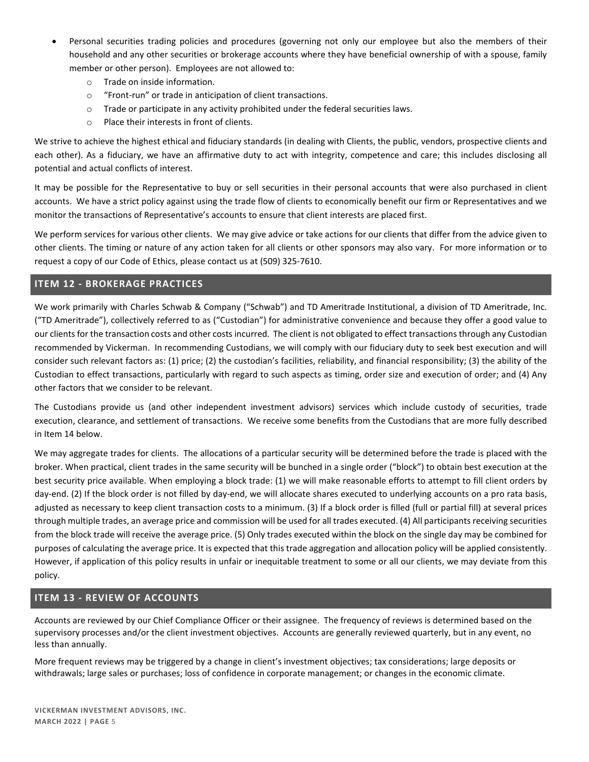- Personal securities trading policies and procedures (governing not only our employee but also the members of their household and any other securities or brokerage accounts where they have beneficial ownership of with a spouse, family member or other person). Employees are not allowed to:
	- o Trade on inside information.
	- o "Front-run" or trade in anticipation of client transactions.
	- $\circ$  Trade or participate in any activity prohibited under the federal securities laws.
	- o Place their interests in front of clients.

We strive to achieve the highest ethical and fiduciary standards (in dealing with Clients, the public, vendors, prospective clients and each other). As a fiduciary, we have an affirmative duty to act with integrity, competence and care; this includes disclosing all potential and actual conflicts of interest.

It may be possible for the Representative to buy or sell securities in their personal accounts that were also purchased in client accounts. We have a strict policy against using the trade flow of clients to economically benefit our firm or Representatives and we monitor the transactions of Representative's accounts to ensure that client interests are placed first.

We perform services for various other clients. We may give advice or take actions for our clients that differ from the advice given to other clients. The timing or nature of any action taken for all clients or other sponsors may also vary. For more information or to request a copy of our Code of Ethics, please contact us at (509) 325-7610.

# **ITEM 12 - BROKERAGE PRACTICES**

We work primarily with Charles Schwab & Company ("Schwab") and TD Ameritrade Institutional, a division of TD Ameritrade, Inc. ("TD Ameritrade"), collectively referred to as ("Custodian") for administrative convenience and because they offer a good value to our clients for the transaction costs and other costs incurred. The client is not obligated to effect transactions through any Custodian recommended by Vickerman. In recommending Custodians, we will comply with our fiduciary duty to seek best execution and will consider such relevant factors as: (1) price; (2) the custodian's facilities, reliability, and financial responsibility; (3) the ability of the Custodian to effect transactions, particularly with regard to such aspects as timing, order size and execution of order; and (4) Any other factors that we consider to be relevant.

The Custodians provide us (and other independent investment advisors) services which include custody of securities, trade execution, clearance, and settlement of transactions. We receive some benefits from the Custodians that are more fully described in Item 14 below.

We may aggregate trades for clients. The allocations of a particular security will be determined before the trade is placed with the broker. When practical, client trades in the same security will be bunched in a single order ("block") to obtain best execution at the best security price available. When employing a block trade: (1) we will make reasonable efforts to attempt to fill client orders by day-end. (2) If the block order is not filled by day-end, we will allocate shares executed to underlying accounts on a pro rata basis, adjusted as necessary to keep client transaction costs to a minimum. (3) If a block order is filled (full or partial fill) at several prices through multiple trades, an average price and commission will be used for all trades executed. (4) All participants receiving securities from the block trade will receive the average price. (5) Only trades executed within the block on the single day may be combined for purposes of calculating the average price. It is expected that this trade aggregation and allocation policy will be applied consistently. However, if application of this policy results in unfair or inequitable treatment to some or all our clients, we may deviate from this policy.

# **ITEM 13 - REVIEW OF ACCOUNTS**

Accounts are reviewed by our Chief Compliance Officer or their assignee. The frequency of reviews is determined based on the supervisory processes and/or the client investment objectives. Accounts are generally reviewed quarterly, but in any event, no less than annually.

More frequent reviews may be triggered by a change in client's investment objectives; tax considerations; large deposits or withdrawals; large sales or purchases; loss of confidence in corporate management; or changes in the economic climate.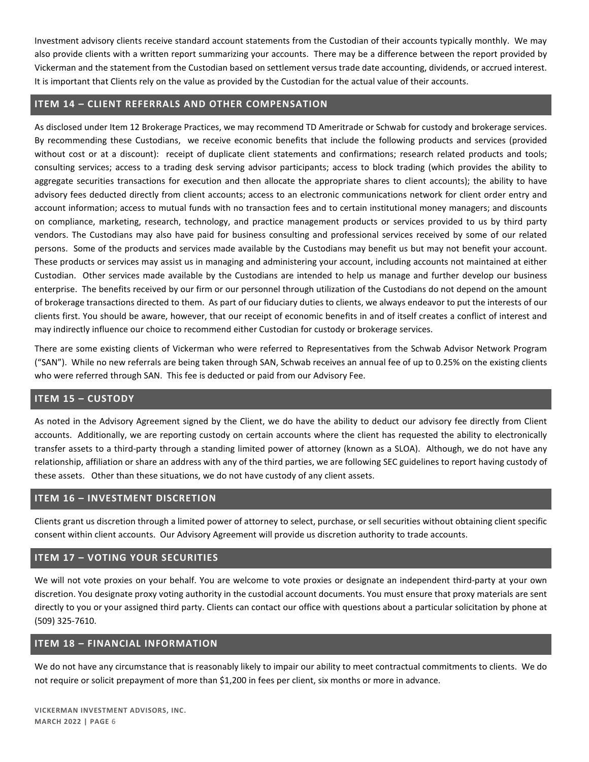Investment advisory clients receive standard account statements from the Custodian of their accounts typically monthly. We may also provide clients with a written report summarizing your accounts. There may be a difference between the report provided by Vickerman and the statement from the Custodian based on settlement versus trade date accounting, dividends, or accrued interest. It is important that Clients rely on the value as provided by the Custodian for the actual value of their accounts.

## **ITEM 14 – CLIENT REFERRALS AND OTHER COMPENSATION**

As disclosed under Item 12 Brokerage Practices, we may recommend TD Ameritrade or Schwab for custody and brokerage services. By recommending these Custodians, we receive economic benefits that include the following products and services (provided without cost or at a discount): receipt of duplicate client statements and confirmations; research related products and tools; consulting services; access to a trading desk serving advisor participants; access to block trading (which provides the ability to aggregate securities transactions for execution and then allocate the appropriate shares to client accounts); the ability to have advisory fees deducted directly from client accounts; access to an electronic communications network for client order entry and account information; access to mutual funds with no transaction fees and to certain institutional money managers; and discounts on compliance, marketing, research, technology, and practice management products or services provided to us by third party vendors. The Custodians may also have paid for business consulting and professional services received by some of our related persons. Some of the products and services made available by the Custodians may benefit us but may not benefit your account. These products or services may assist us in managing and administering your account, including accounts not maintained at either Custodian. Other services made available by the Custodians are intended to help us manage and further develop our business enterprise. The benefits received by our firm or our personnel through utilization of the Custodians do not depend on the amount of brokerage transactions directed to them. As part of our fiduciary duties to clients, we always endeavor to put the interests of our clients first. You should be aware, however, that our receipt of economic benefits in and of itself creates a conflict of interest and may indirectly influence our choice to recommend either Custodian for custody or brokerage services.

There are some existing clients of Vickerman who were referred to Representatives from the Schwab Advisor Network Program ("SAN"). While no new referrals are being taken through SAN, Schwab receives an annual fee of up to 0.25% on the existing clients who were referred through SAN. This fee is deducted or paid from our Advisory Fee.

# **ITEM 15 – CUSTODY**

As noted in the Advisory Agreement signed by the Client, we do have the ability to deduct our advisory fee directly from Client accounts. Additionally, we are reporting custody on certain accounts where the client has requested the ability to electronically transfer assets to a third-party through a standing limited power of attorney (known as a SLOA). Although, we do not have any relationship, affiliation or share an address with any of the third parties, we are following SEC guidelines to report having custody of these assets. Other than these situations, we do not have custody of any client assets.

# **ITEM 16 – INVESTMENT DISCRETION**

Clients grant us discretion through a limited power of attorney to select, purchase, or sell securities without obtaining client specific consent within client accounts. Our Advisory Agreement will provide us discretion authority to trade accounts.

## **ITEM 17 – VOTING YOUR SECURITIES**

We will not vote proxies on your behalf. You are welcome to vote proxies or designate an independent third-party at your own discretion. You designate proxy voting authority in the custodial account documents. You must ensure that proxy materials are sent directly to you or your assigned third party. Clients can contact our office with questions about a particular solicitation by phone at (509) 325-7610.

## **ITEM 18 – FINANCIAL INFORMATION**

We do not have any circumstance that is reasonably likely to impair our ability to meet contractual commitments to clients. We do not require or solicit prepayment of more than \$1,200 in fees per client, six months or more in advance.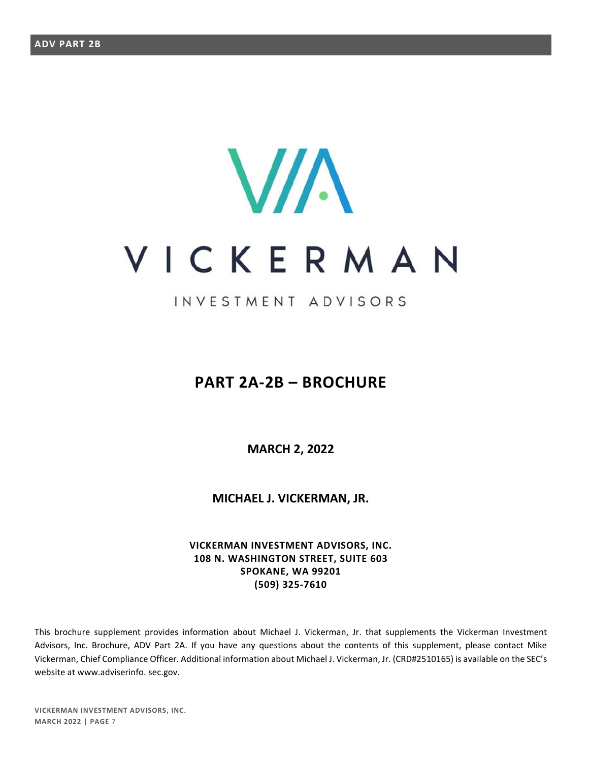# **VIA** VICKERMAN

# INVESTMENT ADVISORS

# **PART 2A-2B – BROCHURE**

**MARCH 2, 2022** 

**MICHAEL J. VICKERMAN, JR.** 

**VICKERMAN INVESTMENT ADVISORS, INC. 108 N. WASHINGTON STREET, SUITE 603 SPOKANE, WA 99201 (509) 325-7610** 

This brochure supplement provides information about Michael J. Vickerman, Jr. that supplements the Vickerman Investment Advisors, Inc. Brochure, ADV Part 2A. If you have any questions about the contents of this supplement, please contact Mike Vickerman, Chief Compliance Officer. Additional information about Michael J. Vickerman, Jr. (CRD#2510165) is available on the SEC's website at www.adviserinfo. sec.gov.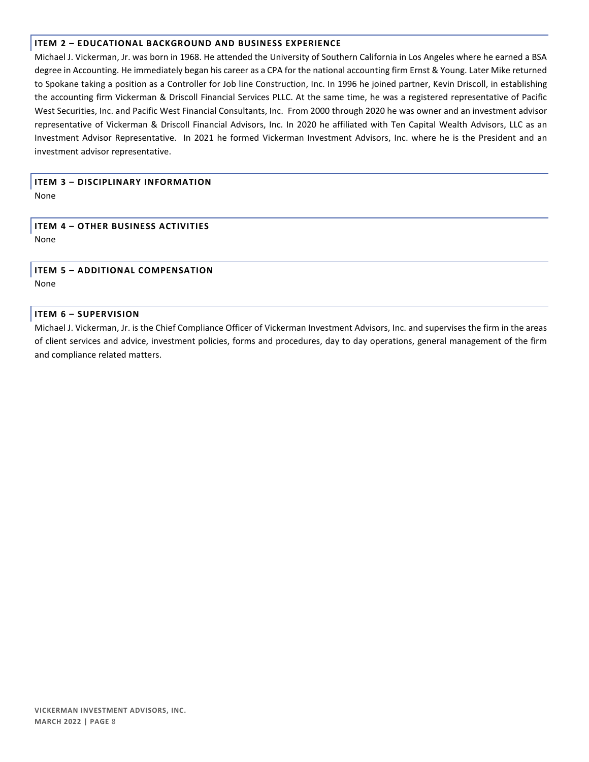Michael J. Vickerman, Jr. was born in 1968. He attended the University of Southern California in Los Angeles where he earned a BSA degree in Accounting. He immediately began his career as a CPA for the national accounting firm Ernst & Young. Later Mike returned to Spokane taking a position as a Controller for Job line Construction, Inc. In 1996 he joined partner, Kevin Driscoll, in establishing the accounting firm Vickerman & Driscoll Financial Services PLLC. At the same time, he was a registered representative of Pacific West Securities, Inc. and Pacific West Financial Consultants, Inc. From 2000 through 2020 he was owner and an investment advisor representative of Vickerman & Driscoll Financial Advisors, Inc. In 2020 he affiliated with Ten Capital Wealth Advisors, LLC as an Investment Advisor Representative. In 2021 he formed Vickerman Investment Advisors, Inc. where he is the President and an investment advisor representative.

## **ITEM 3 – DISCIPLINARY INFORMATION**  None

**ITEM 4 – OTHER BUSINESS ACTIVITIES**  None

**ITEM 5 – ADDITIONAL COMPENSATION**  None

#### **ITEM 6 – SUPERVISION**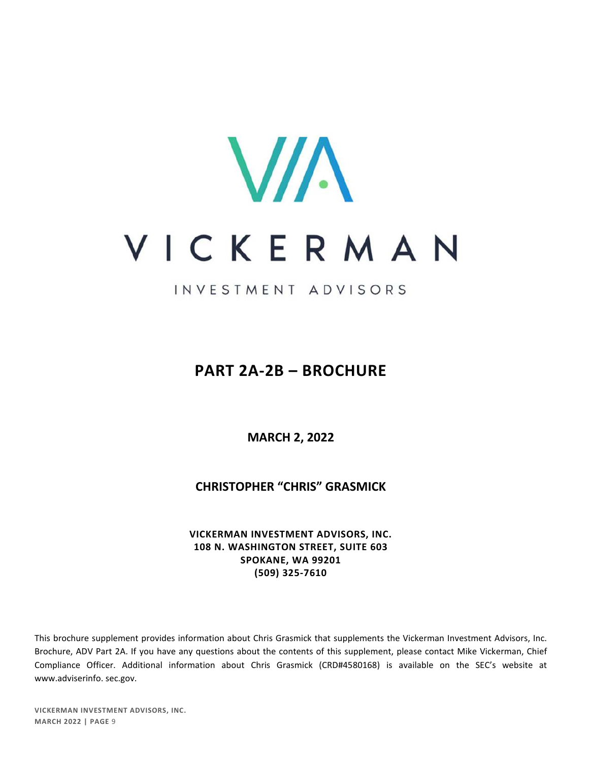

INVESTMENT ADVISORS

# **PART 2A-2B – BROCHURE**

**MARCH 2, 2022** 

**CHRISTOPHER "CHRIS" GRASMICK** 

**VICKERMAN INVESTMENT ADVISORS, INC. 108 N. WASHINGTON STREET, SUITE 603 SPOKANE, WA 99201 (509) 325-7610** 

This brochure supplement provides information about Chris Grasmick that supplements the Vickerman Investment Advisors, Inc. Brochure, ADV Part 2A. If you have any questions about the contents of this supplement, please contact Mike Vickerman, Chief Compliance Officer. Additional information about Chris Grasmick (CRD#4580168) is available on the SEC's website at www.adviserinfo. sec.gov.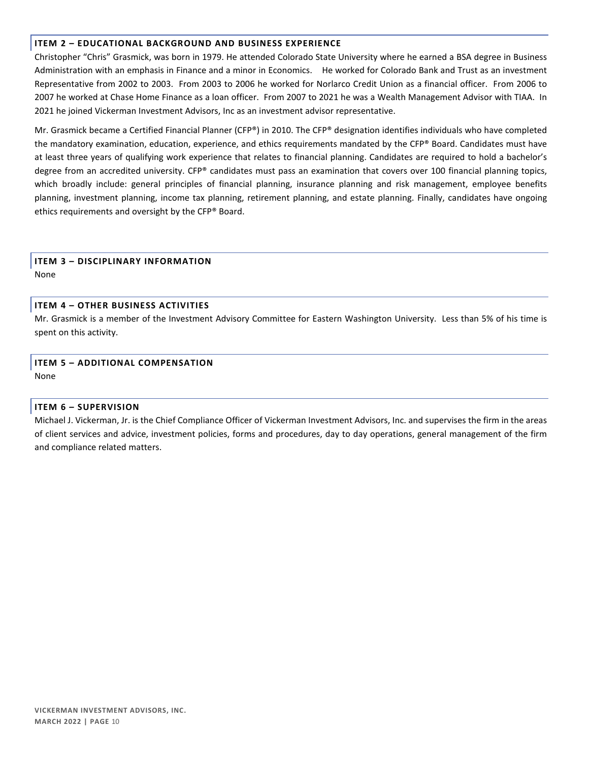Christopher "Chris" Grasmick, was born in 1979. He attended Colorado State University where he earned a BSA degree in Business Administration with an emphasis in Finance and a minor in Economics. He worked for Colorado Bank and Trust as an investment Representative from 2002 to 2003. From 2003 to 2006 he worked for Norlarco Credit Union as a financial officer. From 2006 to 2007 he worked at Chase Home Finance as a loan officer. From 2007 to 2021 he was a Wealth Management Advisor with TIAA. In 2021 he joined Vickerman Investment Advisors, Inc as an investment advisor representative.

Mr. Grasmick became a Certified Financial Planner (CFP®) in 2010. The CFP® designation identifies individuals who have completed the mandatory examination, education, experience, and ethics requirements mandated by the CFP® Board. Candidates must have at least three years of qualifying work experience that relates to financial planning. Candidates are required to hold a bachelor's degree from an accredited university. CFP® candidates must pass an examination that covers over 100 financial planning topics, which broadly include: general principles of financial planning, insurance planning and risk management, employee benefits planning, investment planning, income tax planning, retirement planning, and estate planning. Finally, candidates have ongoing ethics requirements and oversight by the CFP® Board.

## **ITEM 3 – DISCIPLINARY INFORMATION**

None

## **ITEM 4 – OTHER BUSINESS ACTIVITIES**

Mr. Grasmick is a member of the Investment Advisory Committee for Eastern Washington University. Less than 5% of his time is spent on this activity.

# **ITEM 5 – ADDITIONAL COMPENSATION**

None

## **ITEM 6 – SUPERVISION**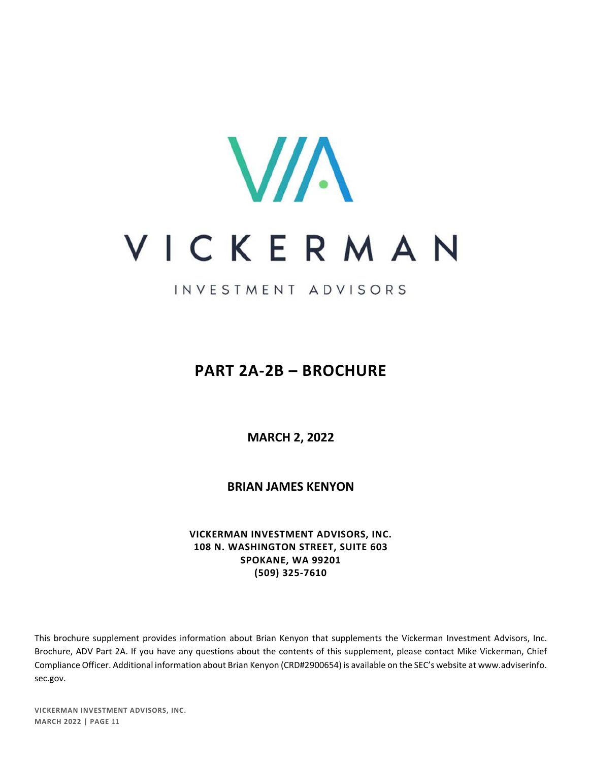

INVESTMENT ADVISORS

# **PART 2A-2B – BROCHURE**

**MARCH 2, 2022** 

**BRIAN JAMES KENYON** 

**VICKERMAN INVESTMENT ADVISORS, INC. 108 N. WASHINGTON STREET, SUITE 603 SPOKANE, WA 99201 (509) 325-7610** 

This brochure supplement provides information about Brian Kenyon that supplements the Vickerman Investment Advisors, Inc. Brochure, ADV Part 2A. If you have any questions about the contents of this supplement, please contact Mike Vickerman, Chief Compliance Officer. Additional information about Brian Kenyon (CRD#2900654) is available on the SEC's website at www.adviserinfo. sec.gov.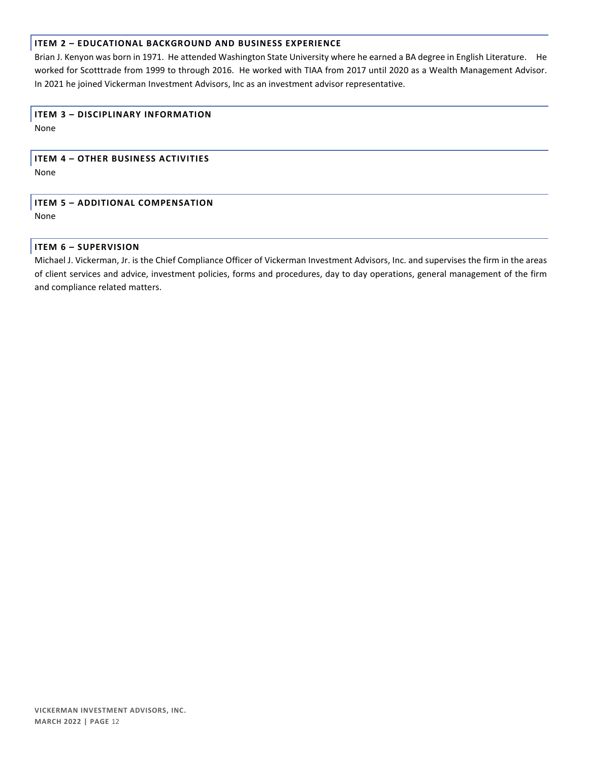Brian J. Kenyon was born in 1971. He attended Washington State University where he earned a BA degree in English Literature. He worked for Scotttrade from 1999 to through 2016. He worked with TIAA from 2017 until 2020 as a Wealth Management Advisor. In 2021 he joined Vickerman Investment Advisors, Inc as an investment advisor representative.

## **ITEM 3 – DISCIPLINARY INFORMATION**

None

## **ITEM 4 – OTHER BUSINESS ACTIVITIES**

None

## **ITEM 5 – ADDITIONAL COMPENSATION**  None

## **ITEM 6 – SUPERVISION**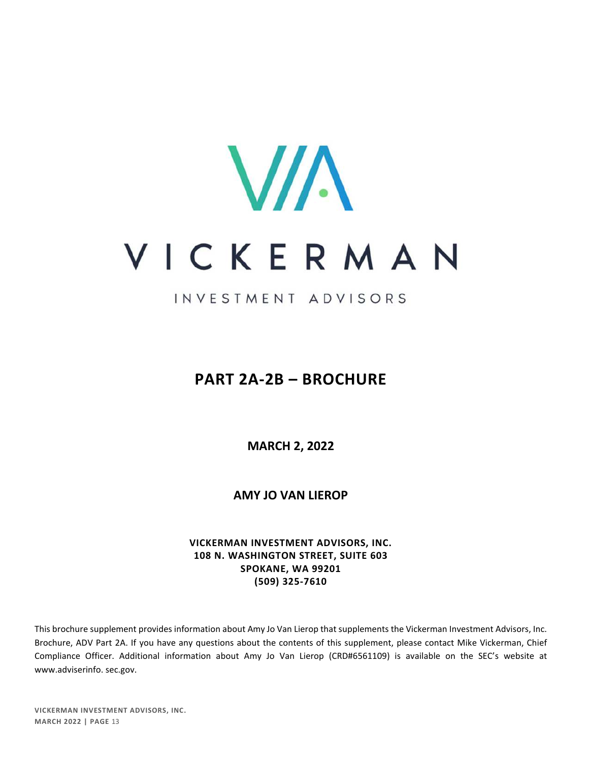

INVESTMENT ADVISORS

# **PART 2A-2B – BROCHURE**

**MARCH 2, 2022** 

**AMY JO VAN LIEROP** 

**VICKERMAN INVESTMENT ADVISORS, INC. 108 N. WASHINGTON STREET, SUITE 603 SPOKANE, WA 99201 (509) 325-7610** 

This brochure supplement provides information about Amy Jo Van Lierop that supplements the Vickerman Investment Advisors, Inc. Brochure, ADV Part 2A. If you have any questions about the contents of this supplement, please contact Mike Vickerman, Chief Compliance Officer. Additional information about Amy Jo Van Lierop (CRD#6561109) is available on the SEC's website at www.adviserinfo. sec.gov.